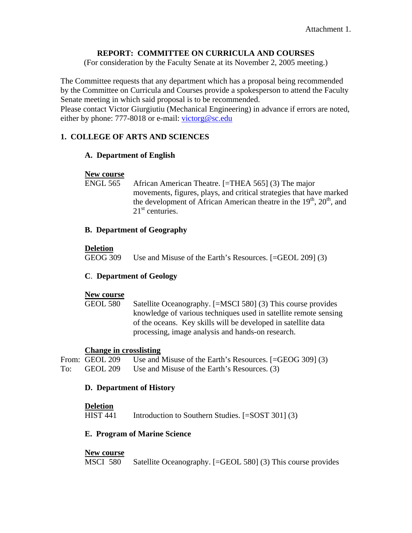# **REPORT: COMMITTEE ON CURRICULA AND COURSES**

(For consideration by the Faculty Senate at its November 2, 2005 meeting.)

The Committee requests that any department which has a proposal being recommended by the Committee on Curricula and Courses provide a spokesperson to attend the Faculty Senate meeting in which said proposal is to be recommended.

Please contact Victor Giurgiutiu (Mechanical Engineering) in advance if errors are noted, either by phone: 777-8018 or e-mail: [victorg@sc.edu](mailto:victorg@sc.edu)

# **1. COLLEGE OF ARTS AND SCIENCES**

## **A. Department of English**

#### **New course**

 ENGL 565 African American Theatre. [=THEA 565] (3) The major movements, figures, plays, and critical strategies that have marked the development of African American theatre in the  $19<sup>th</sup>$ ,  $20<sup>th</sup>$ , and  $21<sup>st</sup>$  centuries.

## **B. Department of Geography**

#### **Deletion**

GEOG 309 Use and Misuse of the Earth's Resources. [=GEOL 209] (3)

## **C**. **Department of Geology**

#### **New course**

 GEOL 580 Satellite Oceanography. [=MSCI 580] (3) This course provides knowledge of various techniques used in satellite remote sensing of the oceans. Key skills will be developed in satellite data processing, image analysis and hands-on research.

## **Change in crosslisting**

```
From: GEOL 209 Use and Misuse of the Earth's Resources. [=GEOG 309] (3)
To: GEOL 209 Use and Misuse of the Earth's Resources. (3)
```
## **D. Department of History**

#### **Deletion**

HIST 441 Introduction to Southern Studies. [=SOST 301] (3)

## **E. Program of Marine Science**

## **New course**

MSCI 580 Satellite Oceanography. [=GEOL 580] (3) This course provides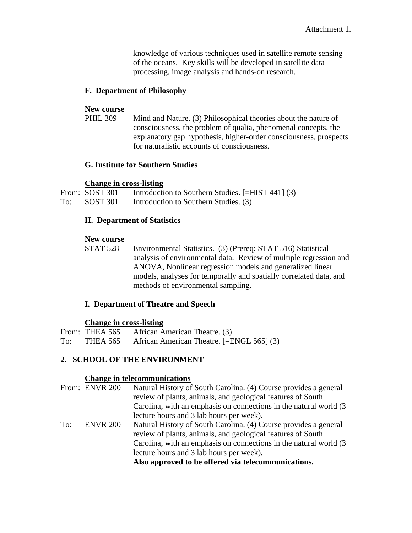knowledge of various techniques used in satellite remote sensing of the oceans. Key skills will be developed in satellite data processing, image analysis and hands-on research.

# **F. Department of Philosophy**

#### **New course**

PHIL 309 Mind and Nature. (3) Philosophical theories about the nature of consciousness, the problem of qualia, phenomenal concepts, the explanatory gap hypothesis, higher-order consciousness, prospects for naturalistic accounts of consciousness.

## **G. Institute for Southern Studies**

## **Change in cross-listing**

|     | From: SOST 301 | Introduction to Southern Studies. [=HIST 441] (3) |
|-----|----------------|---------------------------------------------------|
| To: | SOST 301       | Introduction to Southern Studies. (3)             |

# **H. Department of Statistics**

**New course**<br>STAT 528 Environmental Statistics. (3) (Prereq: STAT 516) Statistical analysis of environmental data. Review of multiple regression and ANOVA, Nonlinear regression models and generalized linear models, analyses for temporally and spatially correlated data, and methods of environmental sampling.

## **I. Department of Theatre and Speech**

## **Change in cross-listing**

|     | From: THEA 565 | African American Theatre. (3)             |
|-----|----------------|-------------------------------------------|
| To: | THEA 565       | African American Theatre. [=ENGL 565] (3) |

# **2. SCHOOL OF THE ENVIRONMENT**

## **Change in telecommunications**

|     | From: ENVR 200  | Natural History of South Carolina. (4) Course provides a general   |
|-----|-----------------|--------------------------------------------------------------------|
|     |                 | review of plants, animals, and geological features of South        |
|     |                 | Carolina, with an emphasis on connections in the natural world (3) |
|     |                 | lecture hours and 3 lab hours per week).                           |
| To: | <b>ENVR 200</b> | Natural History of South Carolina. (4) Course provides a general   |
|     |                 | review of plants, animals, and geological features of South        |
|     |                 | Carolina, with an emphasis on connections in the natural world (3) |
|     |                 | lecture hours and 3 lab hours per week).                           |
|     |                 | Also approved to be offered via telecommunications.                |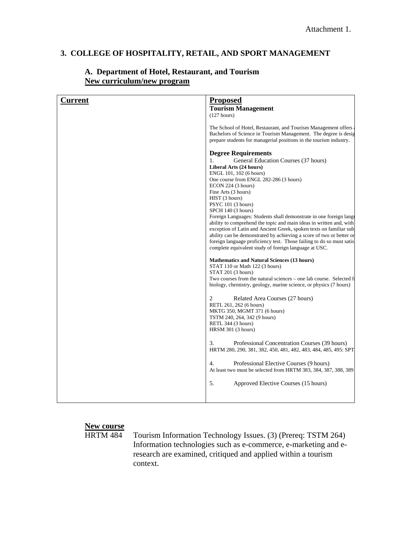# **3. COLLEGE OF HOSPITALITY, RETAIL, AND SPORT MANAGEMENT**

| <b>Current</b> | <b>Proposed</b>                                                                                                                                                                                                                                                                                                                                                                                                                                                                                                                                                                                                                                                                                                                                                                                                                                                                                         |
|----------------|---------------------------------------------------------------------------------------------------------------------------------------------------------------------------------------------------------------------------------------------------------------------------------------------------------------------------------------------------------------------------------------------------------------------------------------------------------------------------------------------------------------------------------------------------------------------------------------------------------------------------------------------------------------------------------------------------------------------------------------------------------------------------------------------------------------------------------------------------------------------------------------------------------|
|                |                                                                                                                                                                                                                                                                                                                                                                                                                                                                                                                                                                                                                                                                                                                                                                                                                                                                                                         |
|                | <b>Tourism Management</b><br>(127 hours)                                                                                                                                                                                                                                                                                                                                                                                                                                                                                                                                                                                                                                                                                                                                                                                                                                                                |
|                |                                                                                                                                                                                                                                                                                                                                                                                                                                                                                                                                                                                                                                                                                                                                                                                                                                                                                                         |
|                | The School of Hotel, Restaurant, and Tourism Management offers<br>Bachelors of Science in Tourism Management. The degree is desig<br>prepare students for managerial positions in the tourism industry.                                                                                                                                                                                                                                                                                                                                                                                                                                                                                                                                                                                                                                                                                                 |
|                | <b>Degree Requirements</b><br>General Education Courses (37 hours)<br>1.<br>Liberal Arts (24 hours)<br>ENGL 101, 102 (6 hours)<br>One course from ENGL 282-286 (3 hours)<br>ECON 224 (3 hours)<br>Fine Arts (3 hours)<br>HIST (3 hours)<br>PSYC 101 (3 hours)<br>SPCH 140 (3 hours)<br>Foreign Languages: Students shall demonstrate in one foreign langu<br>ability to comprehend the topic and main ideas in written and, with<br>exception of Latin and Ancient Greek, spoken texts on familiar sub-<br>ability can be demonstrated by achieving a score of two or better or<br>foreign language proficiency test. Those failing to do so must satis<br>complete equivalent study of foreign language at USC.<br><b>Mathematics and Natural Sciences (13 hours)</b><br>STAT 110 or Math 122 (3 hours)<br>STAT 201 (3 hours)<br>Two courses from the natural sciences – one lab course. Selected from |
|                | biology, chemistry, geology, marine science, or physics (7 hours)                                                                                                                                                                                                                                                                                                                                                                                                                                                                                                                                                                                                                                                                                                                                                                                                                                       |
|                | $\overline{c}$<br>Related Area Courses (27 hours)<br>RETL 261, 262 (6 hours)<br>MKTG 350, MGMT 371 (6 hours)<br>TSTM 240, 264, 342 (9 hours)<br>RETL 344 (3 hours)<br>HRSM 301 (3 hours)                                                                                                                                                                                                                                                                                                                                                                                                                                                                                                                                                                                                                                                                                                                |
|                | 3.<br>Professional Concentration Courses (39 hours)<br>HRTM 280, 290, 381, 382, 450, 481, 482, 483, 484, 485, 495: SPT                                                                                                                                                                                                                                                                                                                                                                                                                                                                                                                                                                                                                                                                                                                                                                                  |
|                | $\overline{4}$ .<br>Professional Elective Courses (9 hours)<br>At least two must be selected from HRTM 383, 384, 387, 388, 389                                                                                                                                                                                                                                                                                                                                                                                                                                                                                                                                                                                                                                                                                                                                                                          |
|                | 5.<br>Approved Elective Courses (15 hours)                                                                                                                                                                                                                                                                                                                                                                                                                                                                                                                                                                                                                                                                                                                                                                                                                                                              |
|                |                                                                                                                                                                                                                                                                                                                                                                                                                                                                                                                                                                                                                                                                                                                                                                                                                                                                                                         |

# **A. Department of Hotel, Restaurant, and Tourism New curriculum/new program**

# **New course**<br>HRTM 484

Tourism Information Technology Issues. (3) (Prereq: TSTM 264) Information technologies such as e-commerce, e-marketing and eresearch are examined, critiqued and applied within a tourism context.